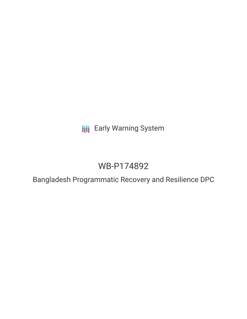**III** Early Warning System

# WB-P174892

Bangladesh Programmatic Recovery and Resilience DPC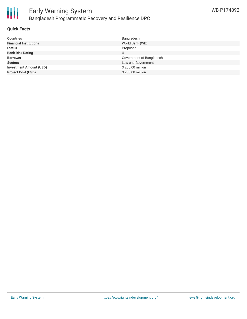

## **Quick Facts**

| <b>Countries</b>               | Bangladesh               |
|--------------------------------|--------------------------|
| <b>Financial Institutions</b>  | World Bank (WB)          |
| <b>Status</b>                  | Proposed                 |
| <b>Bank Risk Rating</b>        |                          |
| <b>Borrower</b>                | Government of Bangladesh |
| <b>Sectors</b>                 | Law and Government       |
| <b>Investment Amount (USD)</b> | \$250.00 million         |
| <b>Project Cost (USD)</b>      | \$250.00 million         |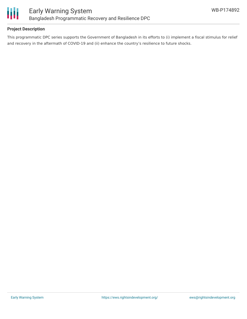

## **Project Description**

This programmatic DPC series supports the Government of Bangladesh in its efforts to (i) implement a fiscal stimulus for relief and recovery in the aftermath of COVID-19 and (ii) enhance the country's resilience to future shocks.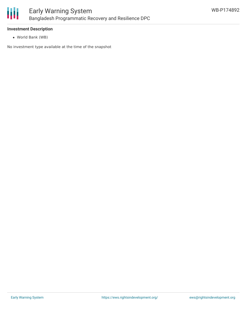

## **Investment Description**

World Bank (WB)

No investment type available at the time of the snapshot